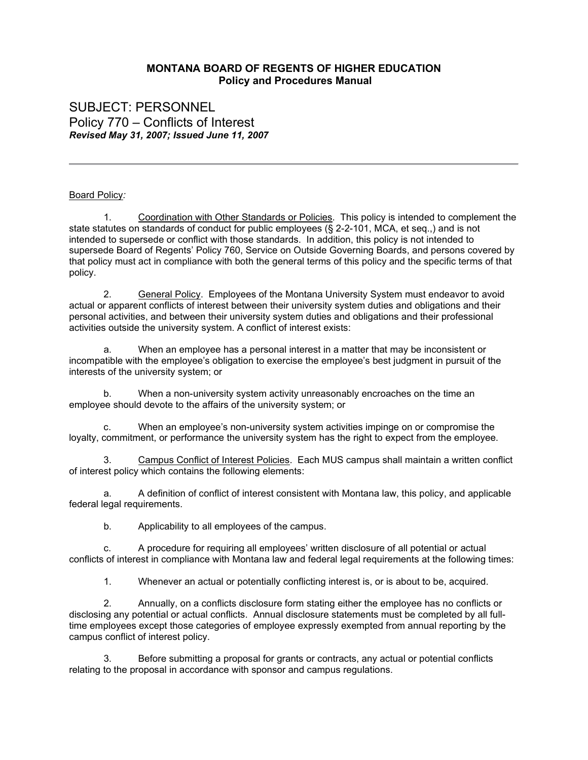## **MONTANA BOARD OF REGENTS OF HIGHER EDUCATION Policy and Procedures Manual**

SUBJECT: PERSONNEL Policy 770 – Conflicts of Interest *Revised May 31, 2007; Issued June 11, 2007*

## Board Policy*:*

1. Coordination with Other Standards or Policies. This policy is intended to complement the state statutes on standards of conduct for public employees (§ 2-2-101, MCA, et seq.,) and is not intended to supersede or conflict with those standards. In addition, this policy is not intended to supersede Board of Regents' Policy 760, Service on Outside Governing Boards, and persons covered by that policy must act in compliance with both the general terms of this policy and the specific terms of that policy.

2. General Policy. Employees of the Montana University System must endeavor to avoid actual or apparent conflicts of interest between their university system duties and obligations and their personal activities, and between their university system duties and obligations and their professional activities outside the university system. A conflict of interest exists:

a. When an employee has a personal interest in a matter that may be inconsistent or incompatible with the employee's obligation to exercise the employee's best judgment in pursuit of the interests of the university system; or

b. When a non-university system activity unreasonably encroaches on the time an employee should devote to the affairs of the university system; or

c. When an employee's non-university system activities impinge on or compromise the loyalty, commitment, or performance the university system has the right to expect from the employee.

3. Campus Conflict of Interest Policies. Each MUS campus shall maintain a written conflict of interest policy which contains the following elements:

a. A definition of conflict of interest consistent with Montana law, this policy, and applicable federal legal requirements.

b. Applicability to all employees of the campus.

c. A procedure for requiring all employees' written disclosure of all potential or actual conflicts of interest in compliance with Montana law and federal legal requirements at the following times:

1. Whenever an actual or potentially conflicting interest is, or is about to be, acquired.

2. Annually, on a conflicts disclosure form stating either the employee has no conflicts or disclosing any potential or actual conflicts. Annual disclosure statements must be completed by all fulltime employees except those categories of employee expressly exempted from annual reporting by the campus conflict of interest policy.

3. Before submitting a proposal for grants or contracts, any actual or potential conflicts relating to the proposal in accordance with sponsor and campus regulations.